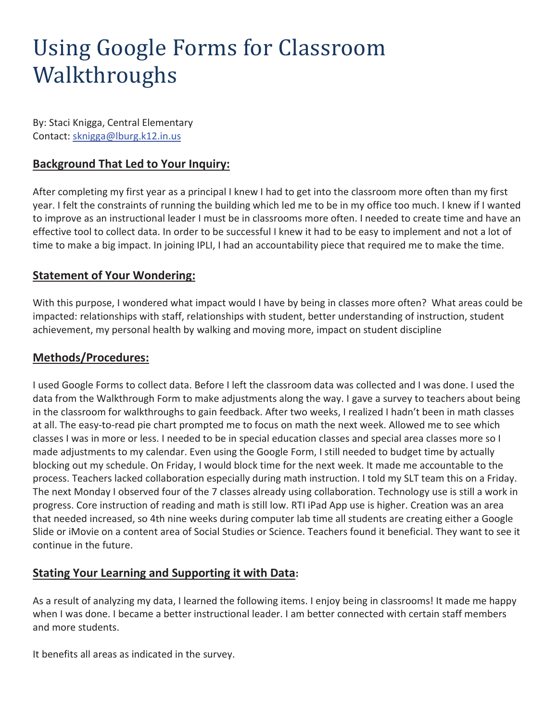# Using Google Forms for Classroom Walkthroughs

By: Staci Knigga, Central Elementary Contact: sknigga@lburg.k12.in.us

## **Background That Led to Your Inquiry:**

After completing my first year as a principal I knew I had to get into the classroom more often than my first year. I felt the constraints of running the building which led me to be in my office too much. I knew if I wanted to improve as an instructional leader I must be in classrooms more often. I needed to create time and have an effective tool to collect data. In order to be successful I knew it had to be easy to implement and not a lot of time to make a big impact. In joining IPLI, I had an accountability piece that required me to make the time.

#### **Statement of Your Wondering:**

With this purpose, I wondered what impact would I have by being in classes more often? What areas could be impacted: relationships with staff, relationships with student, better understanding of instruction, student achievement, my personal health by walking and moving more, impact on student discipline

#### **Methods/Procedures:**

I used Google Forms to collect data. Before I left the classroom data was collected and I was done. I used the data from the Walkthrough Form to make adjustments along the way. I gave a survey to teachers about being in the classroom for walkthroughs to gain feedback. After two weeks, I realized I hadn't been in math classes at all. The easy-to-read pie chart prompted me to focus on math the next week. Allowed me to see which classes I was in more or less. I needed to be in special education classes and special area classes more so I made adjustments to my calendar. Even using the Google Form, I still needed to budget time by actually blocking out my schedule. On Friday, I would block time for the next week. It made me accountable to the process. Teachers lacked collaboration especially during math instruction. I told my SLT team this on a Friday. The next Monday I observed four of the 7 classes already using collaboration. Technology use is still a work in progress. Core instruction of reading and math is still low. RTI iPad App use is higher. Creation was an area that needed increased, so 4th nine weeks during computer lab time all students are creating either a Google Slide or iMovie on a content area of Social Studies or Science. Teachers found it beneficial. They want to see it continue in the future.

### **Stating Your Learning and Supporting it with Data:**

As a result of analyzing my data, I learned the following items. I enjoy being in classrooms! It made me happy when I was done. I became a better instructional leader. I am better connected with certain staff members and more students.

It benefits all areas as indicated in the survey.